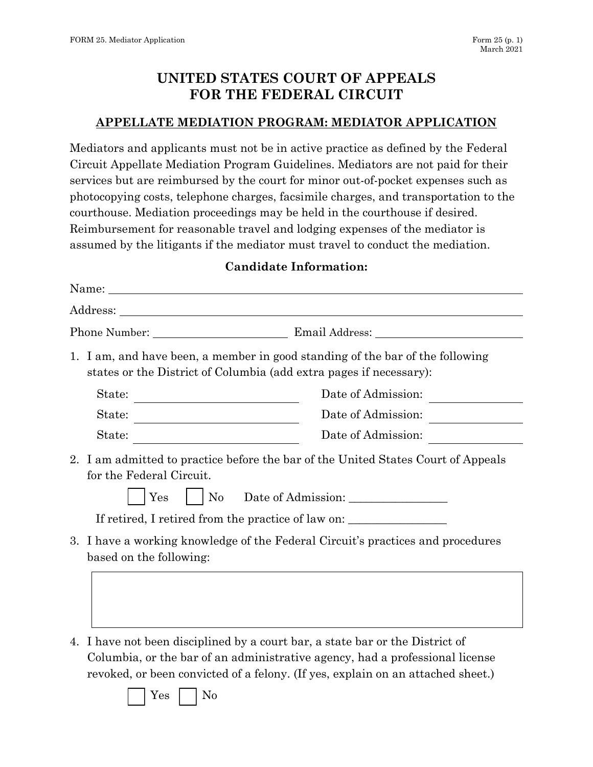## **UNITED STATES COURT OF APPEALS FOR THE FEDERAL CIRCUIT**

## **APPELLATE MEDIATION PROGRAM: MEDIATOR APPLICATION**

Mediators and applicants must not be in active practice as defined by the Federal Circuit Appellate Mediation Program Guidelines. Mediators are not paid for their services but are reimbursed by the court for minor out-of-pocket expenses such as photocopying costs, telephone charges, facsimile charges, and transportation to the courthouse. Mediation proceedings may be held in the courthouse if desired. Reimbursement for reasonable travel and lodging expenses of the mediator is assumed by the litigants if the mediator must travel to conduct the mediation.

## **Candidate Information:**

| Name:                                                                                                                                                                                                                |                    |
|----------------------------------------------------------------------------------------------------------------------------------------------------------------------------------------------------------------------|--------------------|
|                                                                                                                                                                                                                      |                    |
|                                                                                                                                                                                                                      |                    |
| 1. I am, and have been, a member in good standing of the bar of the following<br>states or the District of Columbia (add extra pages if necessary):                                                                  |                    |
| State:                                                                                                                                                                                                               | Date of Admission: |
| State:                                                                                                                                                                                                               | Date of Admission: |
| State:<br><u> 1980 - Johann Barn, mars an t-Amerikaansk kommunister (</u>                                                                                                                                            | Date of Admission: |
| 2. I am admitted to practice before the bar of the United States Court of Appeals<br>for the Federal Circuit.<br>Yes<br>$\rm No$<br>If retired, I retired from the practice of law on: _____________________________ |                    |
| 3. I have a working knowledge of the Federal Circuit's practices and procedures<br>based on the following:                                                                                                           |                    |

4. I have not been disciplined by a court bar, a state bar or the District of Columbia, or the bar of an administrative agency, had a professional license revoked, or been convicted of a felony. (If yes, explain on an attached sheet.)

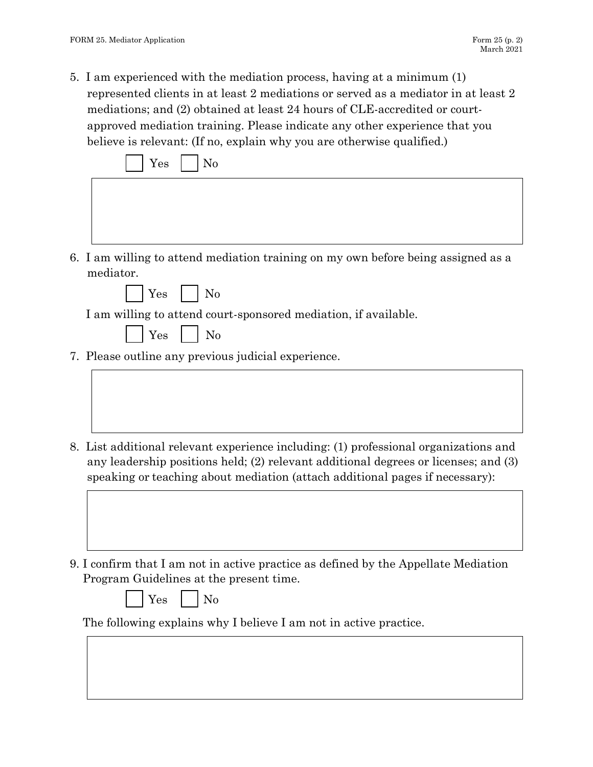5. I am experienced with the mediation process, having at a minimum (1) represented clients in at least 2 mediations or served as a mediator in at least 2 mediations; and (2) obtained at least 24 hours of CLE-accredited or courtapproved mediation training. Please indicate any other experience that you believe is relevant: (If no, explain why you are otherwise qualified.)

| No<br>Yes                                                                         |  |  |
|-----------------------------------------------------------------------------------|--|--|
|                                                                                   |  |  |
|                                                                                   |  |  |
|                                                                                   |  |  |
| 6. I am willing to attend mediation training on my own before being assigned as a |  |  |
| mediator.                                                                         |  |  |
| $Yes$     No                                                                      |  |  |
| I am willing to attend court-sponsored mediation, if available.                   |  |  |
| $\overline{\phantom{a}}$ No<br>Yes                                                |  |  |
| 7. Please outline any previous judicial experience.                               |  |  |

- 8. List additional relevant experience including: (1) professional organizations and any leadership positions held; (2) relevant additional degrees or licenses; and (3) speaking or teaching about mediation (attach additional pages if necessary):
- 9. I confirm that I am not in active practice as defined by the Appellate Mediation Program Guidelines at the present time.
	- $Yes \mid \mid No$

The following explains why I believe I am not in active practice.